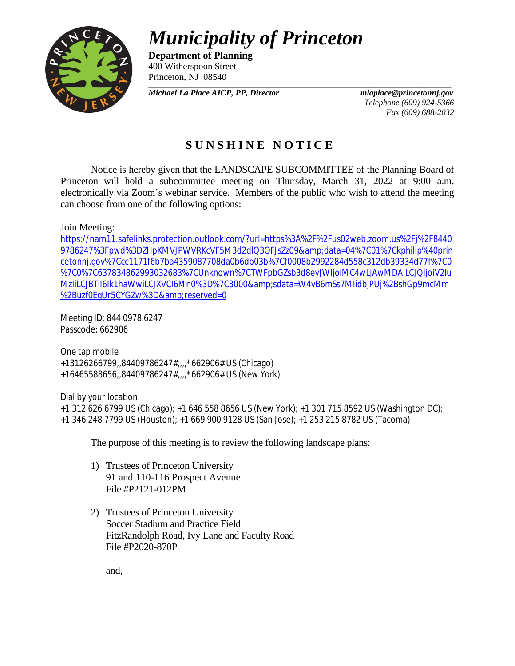## *Municipality of Princeton*



**Department of Planning** 400 Witherspoon Street Princeton, NJ 08540

*\_\_\_\_\_\_\_\_\_\_\_\_\_\_\_\_\_\_\_\_\_\_\_\_\_\_\_\_\_\_\_\_\_\_\_\_\_\_\_\_\_\_\_\_\_\_\_\_\_\_\_\_\_\_\_\_\_\_\_\_\_\_\_\_\_\_\_\_\_\_\_\_\_\_\_\_\_\_\_\_\_\_\_\_\_\_\_\_\_\_\_\_\_\_\_\_\_\_\_\_\_\_\_\_\_\_\_\_\_\_\_\_\_\_\_\_\_\_\_\_ Michael La Place AICP, PP, Director mlaplace@princetonnj.gov*

*Telephone (609) 924-5366 Fax (609) 688-2032*

## **S U N S H I N E N O T I C E**

Notice is hereby given that the LANDSCAPE SUBCOMMITTEE of the Planning Board of Princeton will hold a subcommittee meeting on Thursday, March 31, 2022 at 9:00 a.m. electronically via Zoom's webinar service. Members of the public who wish to attend the meeting can choose from one of the following options:

## Join Meeting:

[https://nam11.safelinks.protection.outlook.com/?url=https%3A%2F%2Fus02web.zoom.us%2Fj%2F8440](https://nam11.safelinks.protection.outlook.com/?url=https%3A%2F%2Fus02web.zoom.us%2Fj%2F84409786247%3Fpwd%3DZHpKMVJPWVRKcVF5M3d2dlQ3OFJsZz09&data=04%7C01%7Ckphilip%40princetonnj.gov%7Ccc1171f6b7ba4359087708da0b6db03b%7Cf0008b2992284d558c312db39334d77f%7C0%7C0%7C637834862993032683%7CUnknown%7CTWFpbGZsb3d8eyJWIjoiMC4wLjAwMDAiLCJQIjoiV2luMzIiLCJBTiI6Ik1haWwiLCJXVCI6Mn0%3D%7C3000&sdata=W4vB6mSs7MIidbjPUj%2BshGp9mcMm%2Buzf0EgUr5CYGZw%3D&reserved=0) 9786247%3Fpwd%3DZHpKMVJPWVRKcVF5M3d2dlQ3OFJsZz09&data=04%7C01%7Ckphilip%40prin cetonnj.gov%7Ccc1171f6b7ba4359087708da0b6db03b%7Cf0008b2992284d558c312db39334d77f%7C0 %7C0%7C637834862993032683%7CUnknown%7CTWFpbGZsb3d8eyJWIjoiMC4wLjAwMDAiLCJQIjoiV2lu MzIiLCJBTiI6Ik1haWwiLCJXVCI6Mn0%3D%7C3000&sdata=W4vB6mSs7MIidbjPUj%2BshGp9mcMm %2Buzf0EgUr5CYGZw%3D&reserved=0

Meeting ID: 844 0978 6247 Passcode: 662906

One tap mobile +13126266799,,84409786247#,,,,\*662906# US (Chicago) +16465588656,,84409786247#,,,,\*662906# US (New York)

Dial by your location +1 312 626 6799 US (Chicago); +1 646 558 8656 US (New York); +1 301 715 8592 US (Washington DC); +1 346 248 7799 US (Houston); +1 669 900 9128 US (San Jose); +1 253 215 8782 US (Tacoma)

The purpose of this meeting is to review the following landscape plans:

- 1) Trustees of Princeton University 91 and 110-116 Prospect Avenue File #P2121-012PM
- 2) Trustees of Princeton University Soccer Stadium and Practice Field FitzRandolph Road, Ivy Lane and Faculty Road File #P2020-870P

and,